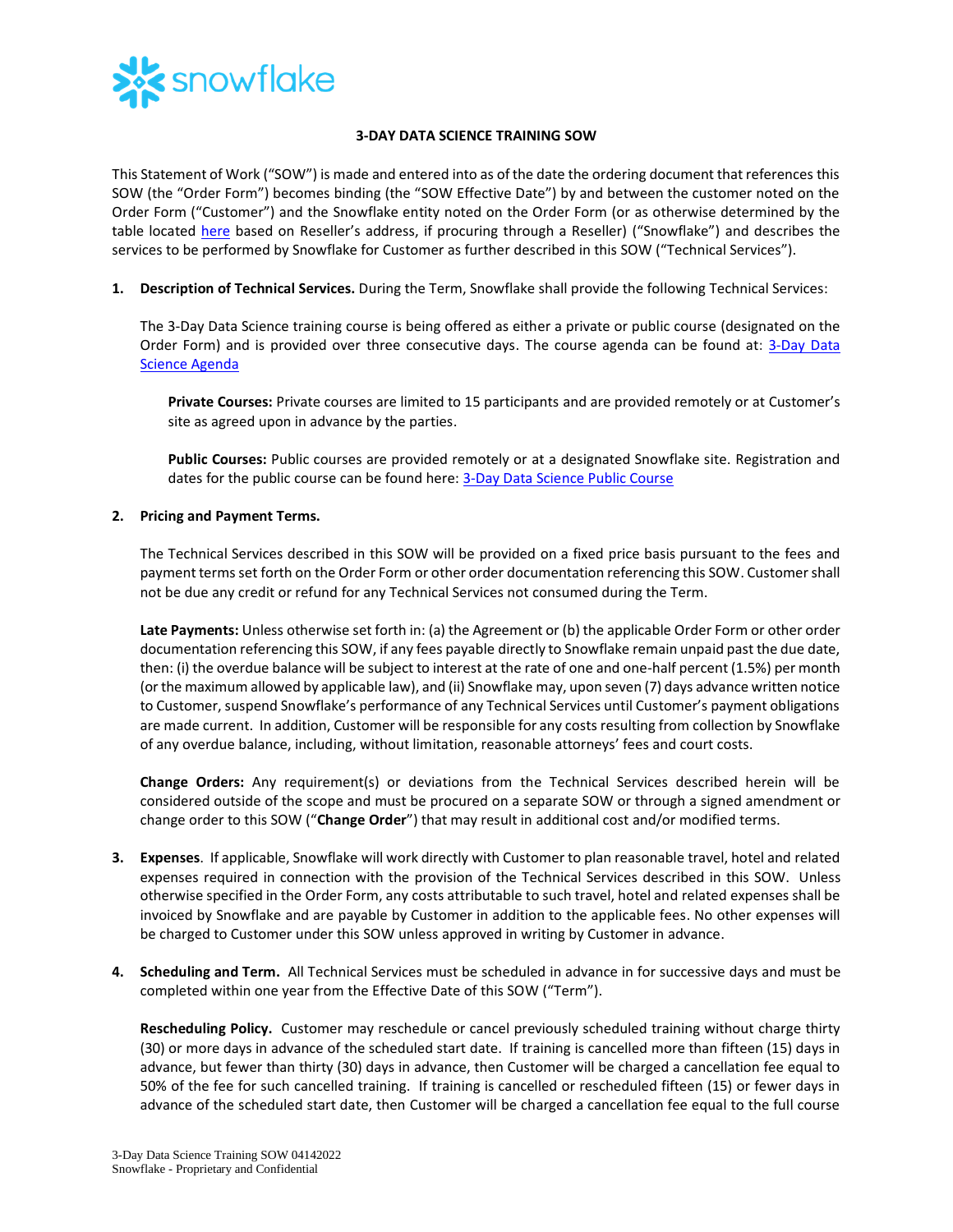

## **3-DAY DATA SCIENCE TRAINING SOW**

This Statement of Work ("SOW") is made and entered into as of the date the ordering document that references this SOW (the "Order Form") becomes binding (the "SOW Effective Date") by and between the customer noted on the Order Form ("Customer") and the Snowflake entity noted on the Order Form (or as otherwise determined by the table located [here](https://www.snowflake.com/legal/snowflake-contracting-entities/) based on Reseller's address, if procuring through a Reseller) ("Snowflake") and describes the services to be performed by Snowflake for Customer as further described in this SOW ("Technical Services").

**1. Description of Technical Services.** During the Term, Snowflake shall provide the following Technical Services:

The 3-Day Data Science training course is being offered as either a private or public course (designated on the Order Form) and is provided over three consecutive days. The course agenda can be found at: [3-Day Data](https://bit.ly/DS3Day-datasheet)  Science [Agenda](https://bit.ly/DS3Day-datasheet)

**Private Courses:** Private courses are limited to 15 participants and are provided remotely or at Customer's site as agreed upon in advance by the parties.

**Public Courses:** Public courses are provided remotely or at a designated Snowflake site. Registration and dates for the public course can be found here: [3-Day Data Science](https://training.snowflake.com/schedule) Public Course

## **2. Pricing and Payment Terms.**

The Technical Services described in this SOW will be provided on a fixed price basis pursuant to the fees and payment terms set forth on the Order Form or other order documentation referencing this SOW. Customer shall not be due any credit or refund for any Technical Services not consumed during the Term.

**Late Payments:** Unless otherwise set forth in: (a) the Agreement or (b) the applicable Order Form or other order documentation referencing this SOW, if any fees payable directly to Snowflake remain unpaid past the due date, then: (i) the overdue balance will be subject to interest at the rate of one and one-half percent (1.5%) per month (or the maximum allowed by applicable law), and (ii) Snowflake may, upon seven (7) days advance written notice to Customer, suspend Snowflake's performance of any Technical Services until Customer's payment obligations are made current. In addition, Customer will be responsible for any costs resulting from collection by Snowflake of any overdue balance, including, without limitation, reasonable attorneys' fees and court costs.

**Change Orders:** Any requirement(s) or deviations from the Technical Services described herein will be considered outside of the scope and must be procured on a separate SOW or through a signed amendment or change order to this SOW ("**Change Order**") that may result in additional cost and/or modified terms.

- **3. Expenses**. If applicable, Snowflake will work directly with Customer to plan reasonable travel, hotel and related expenses required in connection with the provision of the Technical Services described in this SOW. Unless otherwise specified in the Order Form, any costs attributable to such travel, hotel and related expenses shall be invoiced by Snowflake and are payable by Customer in addition to the applicable fees. No other expenses will be charged to Customer under this SOW unless approved in writing by Customer in advance.
- **4. Scheduling and Term.** All Technical Services must be scheduled in advance in for successive days and must be completed within one year from the Effective Date of this SOW ("Term").

**Rescheduling Policy.** Customer may reschedule or cancel previously scheduled training without charge thirty (30) or more days in advance of the scheduled start date. If training is cancelled more than fifteen (15) days in advance, but fewer than thirty (30) days in advance, then Customer will be charged a cancellation fee equal to 50% of the fee for such cancelled training. If training is cancelled or rescheduled fifteen (15) or fewer days in advance of the scheduled start date, then Customer will be charged a cancellation fee equal to the full course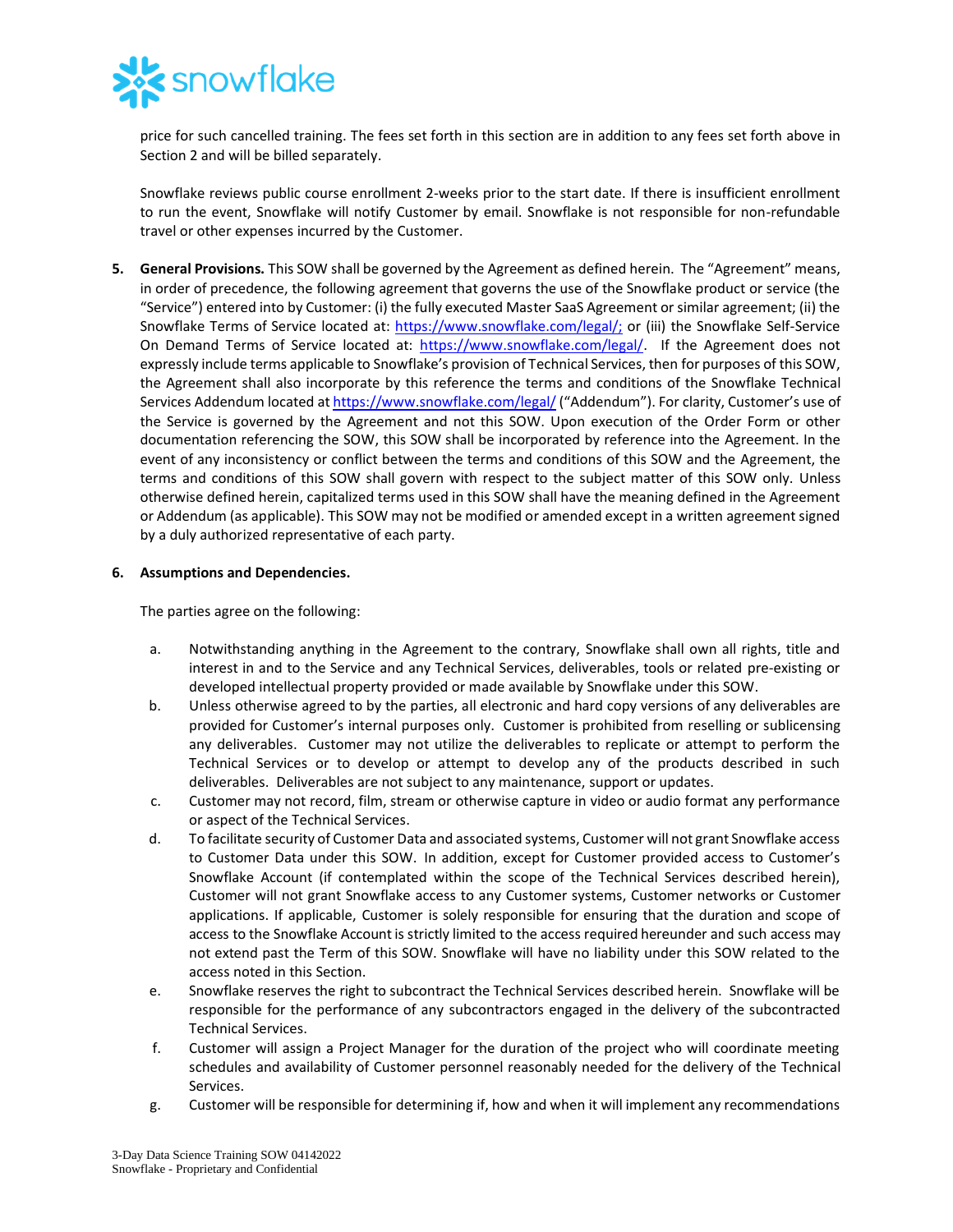

price for such cancelled training. The fees set forth in this section are in addition to any fees set forth above in Section 2 and will be billed separately.

Snowflake reviews public course enrollment 2-weeks prior to the start date. If there is insufficient enrollment to run the event, Snowflake will notify Customer by email. Snowflake is not responsible for non-refundable travel or other expenses incurred by the Customer.

**5. General Provisions.** This SOW shall be governed by the Agreement as defined herein. The "Agreement" means, in order of precedence, the following agreement that governs the use of the Snowflake product or service (the "Service") entered into by Customer: (i) the fully executed Master SaaS Agreement or similar agreement; (ii) the Snowflake Terms of Service located at: [https://www.snowflake.com/legal/;](https://www.snowflake.com/legal/) or (iii) the Snowflake Self-Service On Demand Terms of Service located at: [https://www.snowflake.com/legal/.](https://www.snowflake.com/legal/) If the Agreement does not expressly include terms applicable to Snowflake's provision of Technical Services, then for purposes of this SOW, the Agreement shall also incorporate by this reference the terms and conditions of the Snowflake Technical Services Addendum located a[t https://www.snowflake.com/legal/](https://www.snowflake.com/legal/) ("Addendum"). For clarity, Customer's use of the Service is governed by the Agreement and not this SOW. Upon execution of the Order Form or other documentation referencing the SOW, this SOW shall be incorporated by reference into the Agreement. In the event of any inconsistency or conflict between the terms and conditions of this SOW and the Agreement, the terms and conditions of this SOW shall govern with respect to the subject matter of this SOW only. Unless otherwise defined herein, capitalized terms used in this SOW shall have the meaning defined in the Agreement or Addendum (as applicable). This SOW may not be modified or amended except in a written agreement signed by a duly authorized representative of each party.

## **6. Assumptions and Dependencies.**

The parties agree on the following:

- a. Notwithstanding anything in the Agreement to the contrary, Snowflake shall own all rights, title and interest in and to the Service and any Technical Services, deliverables, tools or related pre-existing or developed intellectual property provided or made available by Snowflake under this SOW.
- b. Unless otherwise agreed to by the parties, all electronic and hard copy versions of any deliverables are provided for Customer's internal purposes only. Customer is prohibited from reselling or sublicensing any deliverables. Customer may not utilize the deliverables to replicate or attempt to perform the Technical Services or to develop or attempt to develop any of the products described in such deliverables. Deliverables are not subject to any maintenance, support or updates.
- c. Customer may not record, film, stream or otherwise capture in video or audio format any performance or aspect of the Technical Services.
- d. To facilitate security of Customer Data and associated systems, Customer will not grant Snowflake access to Customer Data under this SOW. In addition, except for Customer provided access to Customer's Snowflake Account (if contemplated within the scope of the Technical Services described herein), Customer will not grant Snowflake access to any Customer systems, Customer networks or Customer applications. If applicable, Customer is solely responsible for ensuring that the duration and scope of access to the Snowflake Account is strictly limited to the access required hereunder and such access may not extend past the Term of this SOW. Snowflake will have no liability under this SOW related to the access noted in this Section.
- e. Snowflake reserves the right to subcontract the Technical Services described herein. Snowflake will be responsible for the performance of any subcontractors engaged in the delivery of the subcontracted Technical Services.
- f. Customer will assign a Project Manager for the duration of the project who will coordinate meeting schedules and availability of Customer personnel reasonably needed for the delivery of the Technical Services.
- g. Customer will be responsible for determining if, how and when it will implement any recommendations